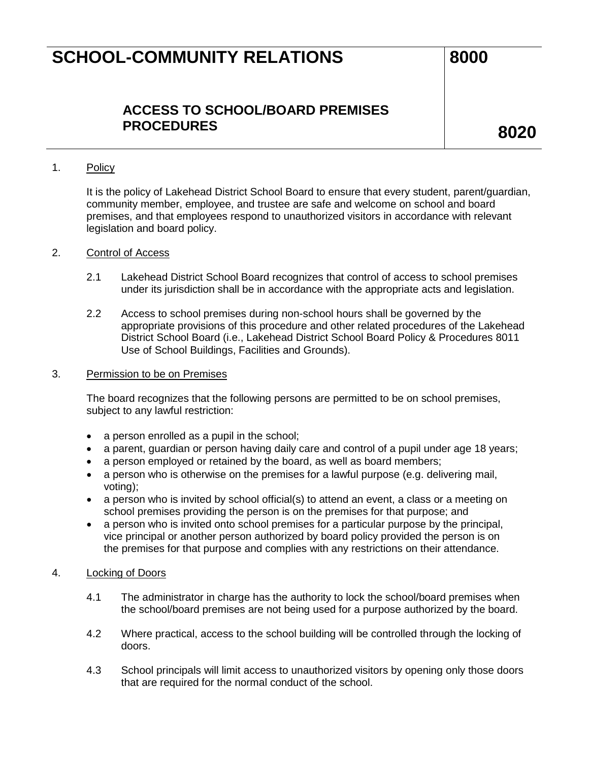### **ACCESS TO SCHOOL/BOARD PREMISES PROCEDURES 8020**

#### 1. Policy

It is the policy of Lakehead District School Board to ensure that every student, parent/guardian, community member, employee, and trustee are safe and welcome on school and board premises, and that employees respond to unauthorized visitors in accordance with relevant legislation and board policy.

#### 2. Control of Access

- 2.1 Lakehead District School Board recognizes that control of access to school premises under its jurisdiction shall be in accordance with the appropriate acts and legislation.
- 2.2 Access to school premises during non-school hours shall be governed by the appropriate provisions of this procedure and other related procedures of the Lakehead District School Board (i.e., Lakehead District School Board Policy & Procedures 8011 Use of School Buildings, Facilities and Grounds).

#### 3. Permission to be on Premises

The board recognizes that the following persons are permitted to be on school premises, subject to any lawful restriction:

- a person enrolled as a pupil in the school;
- a parent, guardian or person having daily care and control of a pupil under age 18 years;
- a person employed or retained by the board, as well as board members;
- a person who is otherwise on the premises for a lawful purpose (e.g. delivering mail, voting);
- a person who is invited by school official(s) to attend an event, a class or a meeting on school premises providing the person is on the premises for that purpose; and
- a person who is invited onto school premises for a particular purpose by the principal, vice principal or another person authorized by board policy provided the person is on the premises for that purpose and complies with any restrictions on their attendance.

#### 4. Locking of Doors

- 4.1 The administrator in charge has the authority to lock the school/board premises when the school/board premises are not being used for a purpose authorized by the board.
- 4.2 Where practical, access to the school building will be controlled through the locking of doors.
- 4.3 School principals will limit access to unauthorized visitors by opening only those doors that are required for the normal conduct of the school.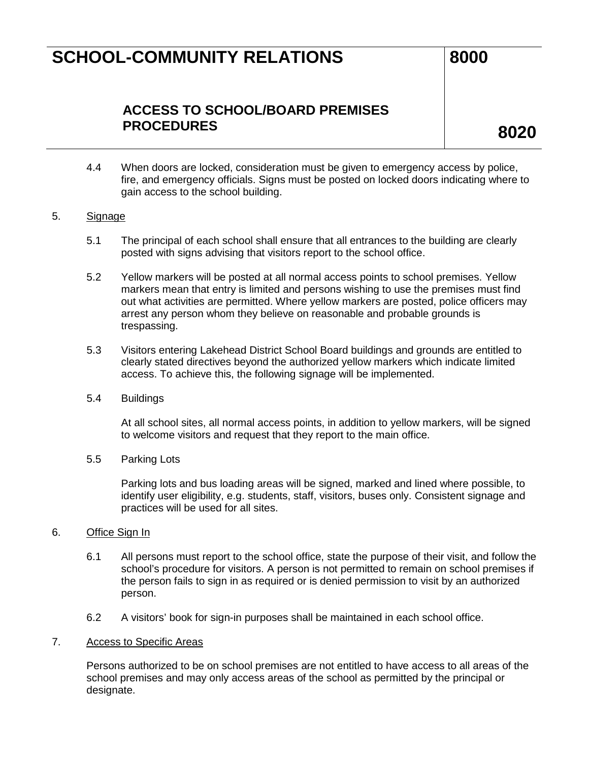### **ACCESS TO SCHOOL/BOARD PREMISES PROCEDURES 8020**

4.4 When doors are locked, consideration must be given to emergency access by police, fire, and emergency officials. Signs must be posted on locked doors indicating where to gain access to the school building.

#### 5. Signage

- 5.1 The principal of each school shall ensure that all entrances to the building are clearly posted with signs advising that visitors report to the school office.
- 5.2 Yellow markers will be posted at all normal access points to school premises. Yellow markers mean that entry is limited and persons wishing to use the premises must find out what activities are permitted. Where yellow markers are posted, police officers may arrest any person whom they believe on reasonable and probable grounds is trespassing.
- 5.3 Visitors entering Lakehead District School Board buildings and grounds are entitled to clearly stated directives beyond the authorized yellow markers which indicate limited access. To achieve this, the following signage will be implemented.
- 5.4 Buildings

At all school sites, all normal access points, in addition to yellow markers, will be signed to welcome visitors and request that they report to the main office.

5.5 Parking Lots

Parking lots and bus loading areas will be signed, marked and lined where possible, to identify user eligibility, e.g. students, staff, visitors, buses only. Consistent signage and practices will be used for all sites.

#### 6. Office Sign In

- 6.1 All persons must report to the school office, state the purpose of their visit, and follow the school's procedure for visitors. A person is not permitted to remain on school premises if the person fails to sign in as required or is denied permission to visit by an authorized person.
- 6.2 A visitors' book for sign-in purposes shall be maintained in each school office.

#### 7. Access to Specific Areas

Persons authorized to be on school premises are not entitled to have access to all areas of the school premises and may only access areas of the school as permitted by the principal or designate.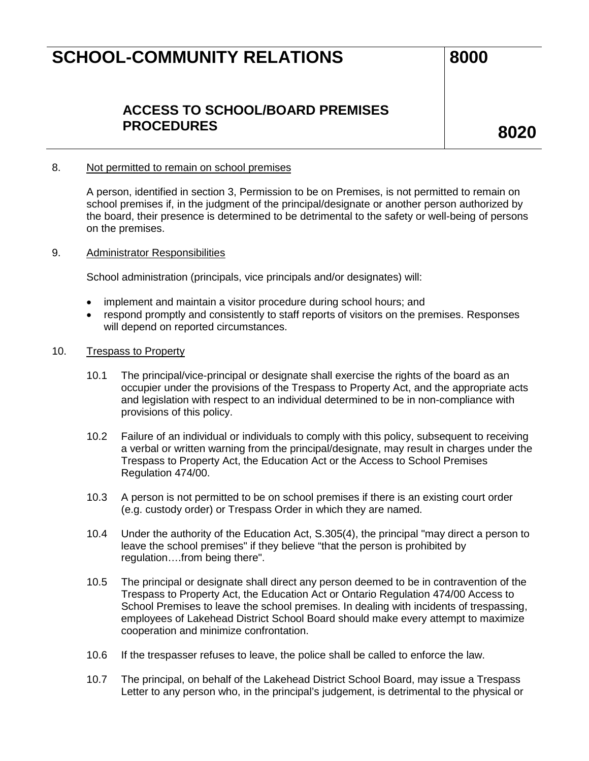### **ACCESS TO SCHOOL/BOARD PREMISES PROCEDURES 8020**

#### 8. Not permitted to remain on school premises

A person, identified in section 3, Permission to be on Premises, is not permitted to remain on school premises if, in the judgment of the principal/designate or another person authorized by the board, their presence is determined to be detrimental to the safety or well-being of persons on the premises.

#### 9. Administrator Responsibilities

School administration (principals, vice principals and/or designates) will:

- implement and maintain a visitor procedure during school hours; and
- respond promptly and consistently to staff reports of visitors on the premises. Responses will depend on reported circumstances.
- 10. Trespass to Property
	- 10.1 The principal/vice-principal or designate shall exercise the rights of the board as an occupier under the provisions of the Trespass to Property Act, and the appropriate acts and legislation with respect to an individual determined to be in non-compliance with provisions of this policy.
	- 10.2 Failure of an individual or individuals to comply with this policy, subsequent to receiving a verbal or written warning from the principal/designate, may result in charges under the Trespass to Property Act, the Education Act or the Access to School Premises Regulation 474/00.
	- 10.3 A person is not permitted to be on school premises if there is an existing court order (e.g. custody order) or Trespass Order in which they are named.
	- 10.4 Under the authority of the Education Act, S.305(4), the principal "may direct a person to leave the school premises" if they believe "that the person is prohibited by regulation….from being there".
	- 10.5 The principal or designate shall direct any person deemed to be in contravention of the Trespass to Property Act, the Education Act or Ontario Regulation 474/00 Access to School Premises to leave the school premises. In dealing with incidents of trespassing, employees of Lakehead District School Board should make every attempt to maximize cooperation and minimize confrontation.
	- 10.6 If the trespasser refuses to leave, the police shall be called to enforce the law.
	- 10.7 The principal, on behalf of the Lakehead District School Board, may issue a Trespass Letter to any person who, in the principal's judgement, is detrimental to the physical or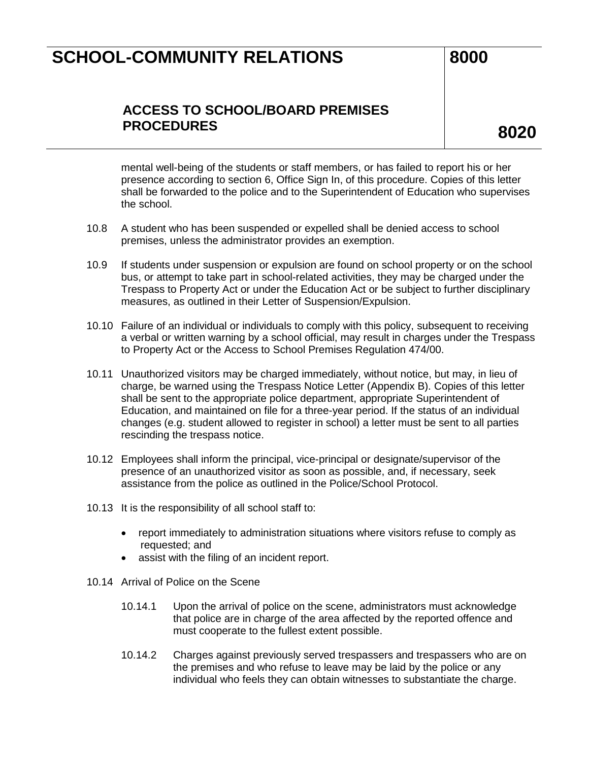### **ACCESS TO SCHOOL/BOARD PREMISES PROCEDURES 8020**

mental well-being of the students or staff members, or has failed to report his or her presence according to section 6, Office Sign In, of this procedure. Copies of this letter shall be forwarded to the police and to the Superintendent of Education who supervises the school.

- 10.8 A student who has been suspended or expelled shall be denied access to school premises, unless the administrator provides an exemption.
- 10.9 If students under suspension or expulsion are found on school property or on the school bus, or attempt to take part in school-related activities, they may be charged under the Trespass to Property Act or under the Education Act or be subject to further disciplinary measures, as outlined in their Letter of Suspension/Expulsion.
- 10.10 Failure of an individual or individuals to comply with this policy, subsequent to receiving a verbal or written warning by a school official, may result in charges under the Trespass to Property Act or the Access to School Premises Regulation 474/00.
- 10.11 Unauthorized visitors may be charged immediately, without notice, but may, in lieu of charge, be warned using the Trespass Notice Letter (Appendix B). Copies of this letter shall be sent to the appropriate police department, appropriate Superintendent of Education, and maintained on file for a three-year period. If the status of an individual changes (e.g. student allowed to register in school) a letter must be sent to all parties rescinding the trespass notice.
- 10.12 Employees shall inform the principal, vice-principal or designate/supervisor of the presence of an unauthorized visitor as soon as possible, and, if necessary, seek assistance from the police as outlined in the Police/School Protocol.
- 10.13 It is the responsibility of all school staff to:
	- report immediately to administration situations where visitors refuse to comply as requested; and
	- assist with the filing of an incident report.
- 10.14 Arrival of Police on the Scene
	- 10.14.1 Upon the arrival of police on the scene, administrators must acknowledge that police are in charge of the area affected by the reported offence and must cooperate to the fullest extent possible.
	- 10.14.2 Charges against previously served trespassers and trespassers who are on the premises and who refuse to leave may be laid by the police or any individual who feels they can obtain witnesses to substantiate the charge.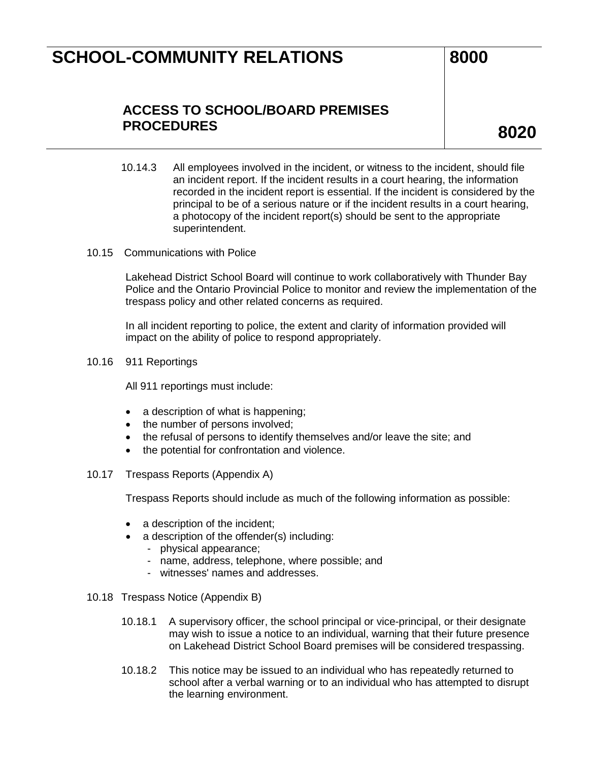### **ACCESS TO SCHOOL/BOARD PREMISES PROCEDURES 8020**

- 10.14.3 All employees involved in the incident, or witness to the incident, should file an incident report. If the incident results in a court hearing, the information recorded in the incident report is essential. If the incident is considered by the principal to be of a serious nature or if the incident results in a court hearing, a photocopy of the incident report(s) should be sent to the appropriate superintendent.
- 10.15 Communications with Police

Lakehead District School Board will continue to work collaboratively with Thunder Bay Police and the Ontario Provincial Police to monitor and review the implementation of the trespass policy and other related concerns as required.

In all incident reporting to police, the extent and clarity of information provided will impact on the ability of police to respond appropriately.

10.16 911 Reportings

All 911 reportings must include:

- a description of what is happening;
- the number of persons involved;
- the refusal of persons to identify themselves and/or leave the site; and
- the potential for confrontation and violence.
- 10.17 Trespass Reports (Appendix A)

Trespass Reports should include as much of the following information as possible:

- a description of the incident;
- a description of the offender(s) including:
	- physical appearance;
	- name, address, telephone, where possible; and
	- witnesses' names and addresses.
- 10.18 Trespass Notice (Appendix B)
	- 10.18.1 A supervisory officer, the school principal or vice-principal, or their designate may wish to issue a notice to an individual, warning that their future presence on Lakehead District School Board premises will be considered trespassing.
	- 10.18.2 This notice may be issued to an individual who has repeatedly returned to school after a verbal warning or to an individual who has attempted to disrupt the learning environment.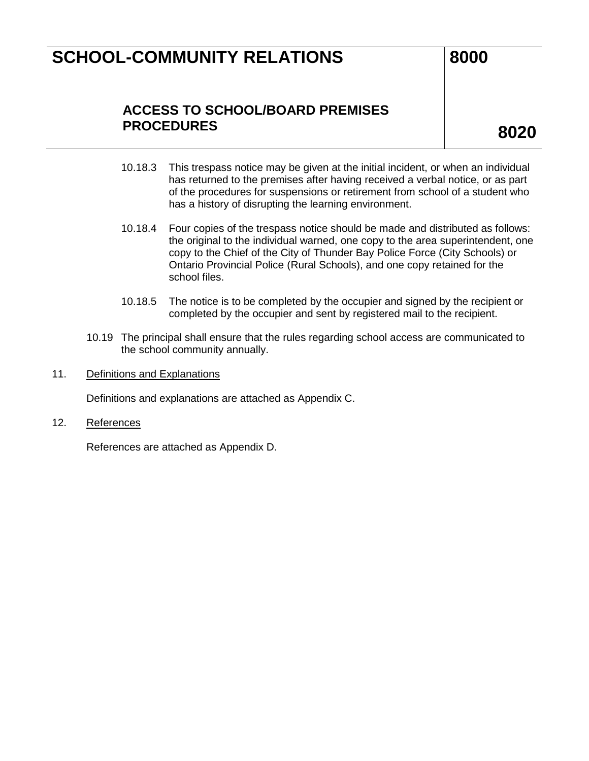### **ACCESS TO SCHOOL/BOARD PREMISES PROCEDURES 8020**

- 10.18.3 This trespass notice may be given at the initial incident, or when an individual has returned to the premises after having received a verbal notice, or as part of the procedures for suspensions or retirement from school of a student who has a history of disrupting the learning environment.
- 10.18.4 Four copies of the trespass notice should be made and distributed as follows: the original to the individual warned, one copy to the area superintendent, one copy to the Chief of the City of Thunder Bay Police Force (City Schools) or Ontario Provincial Police (Rural Schools), and one copy retained for the school files.
- 10.18.5 The notice is to be completed by the occupier and signed by the recipient or completed by the occupier and sent by registered mail to the recipient.
- 10.19 The principal shall ensure that the rules regarding school access are communicated to the school community annually.
- 11. Definitions and Explanations

Definitions and explanations are attached as Appendix C.

12. References

References are attached as Appendix D.